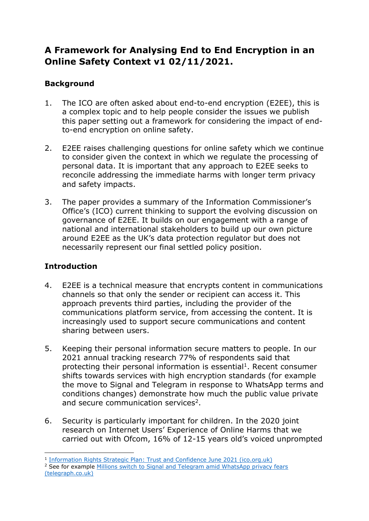# **A Framework for Analysing End to End Encryption in an Online Safety Context v1 02/11/2021.**

## **Background**

- 1. The ICO are often asked about end-to-end encryption (E2EE), this is a complex topic and to help people consider the issues we publish this paper setting out a framework for considering the impact of endto-end encryption on online safety.
- 2. E2EE raises challenging questions for online safety which we continue to consider given the context in which we regulate the processing of personal data. It is important that any approach to E2EE seeks to reconcile addressing the immediate harms with longer term privacy and safety impacts.
- 3. The paper provides a summary of the Information Commissioner's Office's (ICO) current thinking to support the evolving discussion on governance of E2EE. It builds on our engagement with a range of national and international stakeholders to build up our own picture around E2EE as the UK's data protection regulator but does not necessarily represent our final settled policy position.

#### **Introduction**

- 4. E2EE is a technical measure that encrypts content in communications channels so that only the sender or recipient can access it. This approach prevents third parties, including the provider of the communications platform service, from accessing the content. It is increasingly used to support secure communications and content sharing between users.
- 5. Keeping their personal information secure matters to people. In our 2021 annual tracking research 77% of respondents said that protecting their personal information is essential<sup>1</sup>. Recent consumer shifts towards services with high encryption standards (for example the move to Signal and Telegram in response to WhatsApp terms and conditions changes) demonstrate how much the public value private and secure communication services<sup>2</sup>.
- 6. Security is particularly important for children. In the 2020 joint research on Internet Users' Experience of Online Harms that we carried out with Ofcom, 16% of 12-15 years old's voiced unprompted

<sup>&</sup>lt;sup>1</sup> [Information Rights Strategic Plan: Trust and Confidence June 2021 \(ico.org.uk\)](https://ico.org.uk/media/about-the-ico/documents/2620165/ico-trust-and-confidence-report-290621.pdf)

<sup>&</sup>lt;sup>2</sup> See for example Millions switch to Signal and Telegram amid WhatsApp privacy fears [\(telegraph.co.uk\)](https://www.telegraph.co.uk/technology/2021/01/08/elon-musk-urges-users-use-signal-whatsapp-privacy-row/)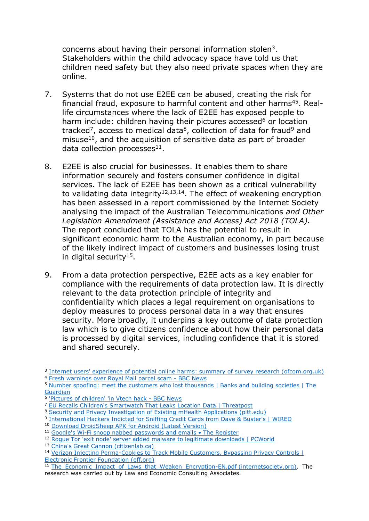concerns about having their personal information stolen<sup>3</sup>. Stakeholders within the child advocacy space have told us that children need safety but they also need private spaces when they are online.

- 7. Systems that do not use E2EE can be abused, creating the risk for financial fraud, exposure to harmful content and other harms<sup>45</sup>. Reallife circumstances where the lack of E2EE has exposed people to harm include: children having their pictures accessed<sup>6</sup> or location tracked<sup>7</sup>, access to medical data<sup>8</sup>, collection of data for fraud<sup>9</sup> and misuse $10$ , and the acquisition of sensitive data as part of broader data collection processes<sup>11</sup>.
- 8. E2EE is also crucial for businesses. It enables them to share information securely and fosters consumer confidence in digital services. The lack of E2EE has been shown as a critical vulnerability to validating data integrity $12,13,14$ . The effect of weakening encryption has been assessed in a report commissioned by the Internet Society analysing the impact of the Australian Telecommunications *and Other Legislation Amendment (Assistance and Access) Act 2018 (TOLA).* The report concluded that TOLA has the potential to result in significant economic harm to the Australian economy, in part because of the likely indirect impact of customers and businesses losing trust in digital security<sup>15</sup>.
- 9. From a data protection perspective, E2EE acts as a key enabler for compliance with the requirements of data protection law. It is directly relevant to the data protection principle of integrity and confidentiality which places a legal requirement on organisations to deploy measures to process personal data in a way that ensures security. More broadly, it underpins a key outcome of data protection law which is to give citizens confidence about how their personal data is processed by digital services, including confidence that it is stored and shared securely.

<sup>&</sup>lt;sup>3</sup> [Internet users' experience of potential online harms: summary of survey research \(ofcom.org.uk\)](https://www.ofcom.org.uk/__data/assets/pdf_file/0024/196413/concerns-and-experiences-online-harms-2020-chart-pack.pdf) <sup>4</sup> [Fresh warnings over Royal Mail parcel scam -](https://www.bbc.co.uk/news/business-56496203) BBC News

<sup>5</sup> Number spoofing: meet the [customers who lost thousands | Banks and building societies | The](https://www.theguardian.com/money/2019/may/04/number-spoofing-meet-the-customers-who-lost-thousands)  [Guardian](https://www.theguardian.com/money/2019/may/04/number-spoofing-meet-the-customers-who-lost-thousands)

<sup>6</sup> ['Pictures of children' 'in Vtech hack -](https://www.bbc.co.uk/news/technology-34971337) BBC News

<sup>&</sup>lt;sup>7</sup> [EU Recalls Children's Smartwatch That Leaks Location Data | Threatpost](https://threatpost.com/eu-recalls-childrens-smartwatch-that-leaks-location-data/141511/)

<sup>8</sup> [Security and Privacy Investigation of Existing mHealth Applications \(pitt.edu\)](http://sis.pitt.edu/jjoshi/courses/IS2955/Fall18/Presentation2.pdf)

**<sup>9</sup>** [International Hackers Indicted for Sniffing Credit Cards from Dave & Buster's | WIRED](https://www.wired.com/2008/05/international-h/)

<sup>10</sup> [Download DroidSheep APK for Android \(Latest](https://droidsheep.info/) Version)

<sup>11</sup> Google's Wi-Fi snoop nabbed passwords and emails . The Register

<sup>12</sup> [Rogue Tor 'exit node' server added malware to legitimate downloads | PCWorld](https://www.pcworld.com/article/2839152/tor-project-flags-russian-exit-node-server-for-delivering-malware.html)

<sup>13</sup> [China's Great Cannon \(citizenlab.ca\)](https://citizenlab.ca/2015/04/chinas-great-cannon/)

<sup>14</sup> Verizon Injecting Perma-Cookies to Track Mobile Customers, Bypassing Privacy Controls | [Electronic Frontier Foundation \(eff.org\)](https://www.eff.org/deeplinks/2014/11/verizon-x-uidh)

<sup>&</sup>lt;sup>15</sup> [The\\_Economic\\_Impact\\_of\\_Laws\\_that\\_Weaken\\_Encryption-EN.pdf \(internetsociety.org\).](https://www.internetsociety.org/wp-content/uploads/2021/05/The_Economic_Impact_of_Laws_that_Weaken_Encryption-EN.pdf) The research was carried out by Law and Economic Consulting Associates.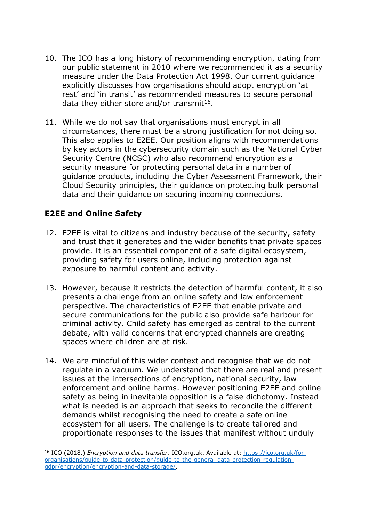- 10. The ICO has a long history of recommending encryption, dating from our public statement in 2010 where we recommended it as a security measure under the Data Protection Act 1998. Our current guidance explicitly discusses how organisations should adopt encryption 'at rest' and 'in transit' as recommended measures to secure personal data they either store and/or transmit<sup>16</sup>.
- 11. While we do not say that organisations must encrypt in all circumstances, there must be a strong justification for not doing so. This also applies to E2EE. Our position aligns with recommendations by key actors in the cybersecurity domain such as the National Cyber Security Centre (NCSC) who also recommend encryption as a security measure for protecting personal data in a number of guidance products, including the Cyber Assessment Framework, their Cloud Security principles, their guidance on protecting bulk personal data and their guidance on securing incoming connections.

### **E2EE and Online Safety**

- 12. E2EE is vital to citizens and industry because of the security, safety and trust that it generates and the wider benefits that private spaces provide. It is an essential component of a safe digital ecosystem, providing safety for users online, including protection against exposure to harmful content and activity.
- 13. However, because it restricts the detection of harmful content, it also presents a challenge from an online safety and law enforcement perspective. The characteristics of E2EE that enable private and secure communications for the public also provide safe harbour for criminal activity. Child safety has emerged as central to the current debate, with valid concerns that encrypted channels are creating spaces where children are at risk.
- 14. We are mindful of this wider context and recognise that we do not regulate in a vacuum. We understand that there are real and present issues at the intersections of encryption, national security, law enforcement and online harms. However positioning E2EE and online safety as being in inevitable opposition is a false dichotomy. Instead what is needed is an approach that seeks to reconcile the different demands whilst recognising the need to create a safe online ecosystem for all users. The challenge is to create tailored and proportionate responses to the issues that manifest without unduly

<sup>16</sup> ICO (2018.) *Encryption and data transfer.* ICO.org.uk. Available at: [https://ico.org.uk/for](https://ico.org.uk/for-organisations/guide-to-data-protection/guide-to-the-general-data-protection-regulation-gdpr/encryption/encryption-and-data-storage/)[organisations/guide-to-data-protection/guide-to-the-general-data-protection-regulation](https://ico.org.uk/for-organisations/guide-to-data-protection/guide-to-the-general-data-protection-regulation-gdpr/encryption/encryption-and-data-storage/)[gdpr/encryption/encryption-and-data-storage/.](https://ico.org.uk/for-organisations/guide-to-data-protection/guide-to-the-general-data-protection-regulation-gdpr/encryption/encryption-and-data-storage/)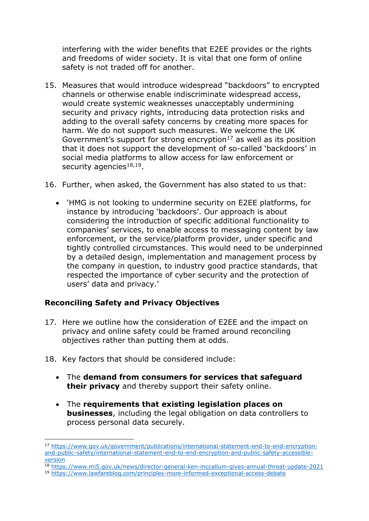interfering with the wider benefits that E2EE provides or the rights and freedoms of wider society. It is vital that one form of online safety is not traded off for another.

- 15. Measures that would introduce widespread "backdoors" to encrypted channels or otherwise enable indiscriminate widespread access, would create systemic weaknesses unacceptably undermining security and privacy rights, introducing data protection risks and adding to the overall safety concerns by creating more spaces for harm. We do not support such measures. We welcome the UK Government's support for strong encryption<sup>17</sup> as well as its position that it does not support the development of so-called 'backdoors' in social media platforms to allow access for law enforcement or security agencies<sup>18,19</sup>.
- 16. Further, when asked, the Government has also stated to us that:
	- 'HMG is not looking to undermine security on E2EE platforms, for instance by introducing 'backdoors'. Our approach is about considering the introduction of specific additional functionality to companies' services, to enable access to messaging content by law enforcement, or the service/platform provider, under specific and tightly controlled circumstances. This would need to be underpinned by a detailed design, implementation and management process by the company in question, to industry good practice standards, that respected the importance of cyber security and the protection of users' data and privacy.'

#### **Reconciling Safety and Privacy Objectives**

- 17. Here we outline how the consideration of E2EE and the impact on privacy and online safety could be framed around reconciling objectives rather than putting them at odds.
- 18. Key factors that should be considered include:
	- The **demand from consumers for services that safeguard their privacy** and thereby support their safety online.
	- The **requirements that existing legislation places on businesses**, including the legal obligation on data controllers to process personal data securely.

<sup>18</sup> <https://www.mi5.gov.uk/news/director-general-ken-mccallum-gives-annual-threat-update-2021>

<sup>17</sup> [https://www.gov.uk/government/publications/international-statement-end-to-end-encryption](https://www.gov.uk/government/publications/international-statement-end-to-end-encryption-and-public-safety/international-statement-end-to-end-encryption-and-public-safety-accessible-version)[and-public-safety/international-statement-end-to-end-encryption-and-public-safety-accessible](https://www.gov.uk/government/publications/international-statement-end-to-end-encryption-and-public-safety/international-statement-end-to-end-encryption-and-public-safety-accessible-version)[version](https://www.gov.uk/government/publications/international-statement-end-to-end-encryption-and-public-safety/international-statement-end-to-end-encryption-and-public-safety-accessible-version)

<sup>19</sup> <https://www.lawfareblog.com/principles-more-informed-exceptional-access-debate>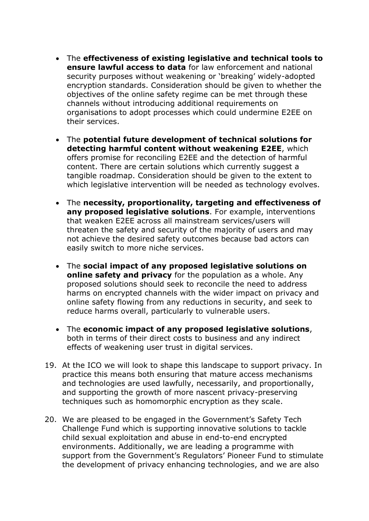- The **effectiveness of existing legislative and technical tools to ensure lawful access to data** for law enforcement and national security purposes without weakening or 'breaking' widely-adopted encryption standards. Consideration should be given to whether the objectives of the online safety regime can be met through these channels without introducing additional requirements on organisations to adopt processes which could undermine E2EE on their services.
- The **potential future development of technical solutions for detecting harmful content without weakening E2EE**, which offers promise for reconciling E2EE and the detection of harmful content. There are certain solutions which currently suggest a tangible roadmap. Consideration should be given to the extent to which legislative intervention will be needed as technology evolves.
- The **necessity, proportionality, targeting and effectiveness of any proposed legislative solutions**. For example, interventions that weaken E2EE across all mainstream services/users will threaten the safety and security of the majority of users and may not achieve the desired safety outcomes because bad actors can easily switch to more niche services.
- The **social impact of any proposed legislative solutions on online safety and privacy** for the population as a whole. Any proposed solutions should seek to reconcile the need to address harms on encrypted channels with the wider impact on privacy and online safety flowing from any reductions in security, and seek to reduce harms overall, particularly to vulnerable users.
- The **economic impact of any proposed legislative solutions**, both in terms of their direct costs to business and any indirect effects of weakening user trust in digital services.
- 19. At the ICO we will look to shape this landscape to support privacy. In practice this means both ensuring that mature access mechanisms and technologies are used lawfully, necessarily, and proportionally, and supporting the growth of more nascent privacy-preserving techniques such as homomorphic encryption as they scale.
- 20. We are pleased to be engaged in the Government's Safety Tech Challenge Fund which is supporting innovative solutions to tackle child sexual exploitation and abuse in end-to-end encrypted environments. Additionally, we are leading a programme with support from the Government's Regulators' Pioneer Fund to stimulate the development of privacy enhancing technologies, and we are also